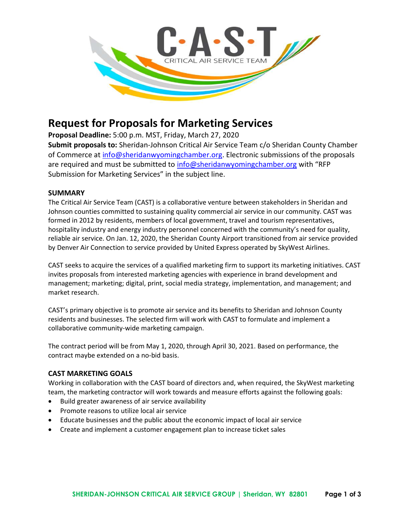

# Request for Proposals for Marketing Services

Proposal Deadline: 5:00 p.m. MST, Friday, March 27, 2020

Submit proposals to: Sheridan-Johnson Critical Air Service Team c/o Sheridan County Chamber of Commerce at info@sheridanwyomingchamber.org. Electronic submissions of the proposals are required and must be submitted to info@sheridanwyomingchamber.org with "RFP Submission for Marketing Services" in the subject line.

## **SUMMARY**

The Critical Air Service Team (CAST) is a collaborative venture between stakeholders in Sheridan and Johnson counties committed to sustaining quality commercial air service in our community. CAST was formed in 2012 by residents, members of local government, travel and tourism representatives, hospitality industry and energy industry personnel concerned with the community's need for quality, reliable air service. On Jan. 12, 2020, the Sheridan County Airport transitioned from air service provided by Denver Air Connection to service provided by United Express operated by SkyWest Airlines.

CAST seeks to acquire the services of a qualified marketing firm to support its marketing initiatives. CAST invites proposals from interested marketing agencies with experience in brand development and management; marketing; digital, print, social media strategy, implementation, and management; and market research.

CAST's primary objective is to promote air service and its benefits to Sheridan and Johnson County residents and businesses. The selected firm will work with CAST to formulate and implement a collaborative community-wide marketing campaign.

The contract period will be from May 1, 2020, through April 30, 2021. Based on performance, the contract maybe extended on a no-bid basis.

## CAST MARKETING GOALS

Working in collaboration with the CAST board of directors and, when required, the SkyWest marketing team, the marketing contractor will work towards and measure efforts against the following goals:

- Build greater awareness of air service availability
- Promote reasons to utilize local air service
- Educate businesses and the public about the economic impact of local air service
- Create and implement a customer engagement plan to increase ticket sales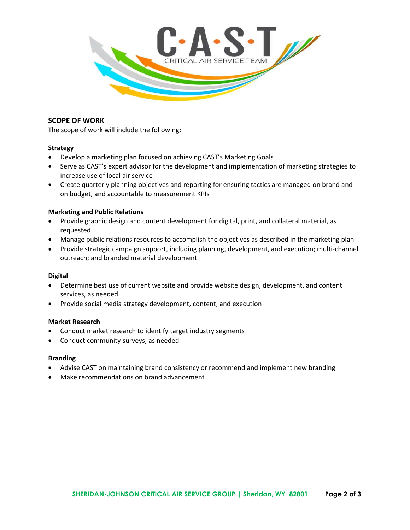

### SCOPE OF WORK

The scope of work will include the following:

#### Strategy

- Develop a marketing plan focused on achieving CAST's Marketing Goals
- Serve as CAST's expert advisor for the development and implementation of marketing strategies to increase use of local air service
- Create quarterly planning objectives and reporting for ensuring tactics are managed on brand and on budget, and accountable to measurement KPIs

#### Marketing and Public Relations

- Provide graphic design and content development for digital, print, and collateral material, as requested
- Manage public relations resources to accomplish the objectives as described in the marketing plan
- Provide strategic campaign support, including planning, development, and execution; multi-channel outreach; and branded material development

#### Digital

- Determine best use of current website and provide website design, development, and content services, as needed
- Provide social media strategy development, content, and execution

#### Market Research

- Conduct market research to identify target industry segments
- Conduct community surveys, as needed

#### Branding

- Advise CAST on maintaining brand consistency or recommend and implement new branding
- Make recommendations on brand advancement